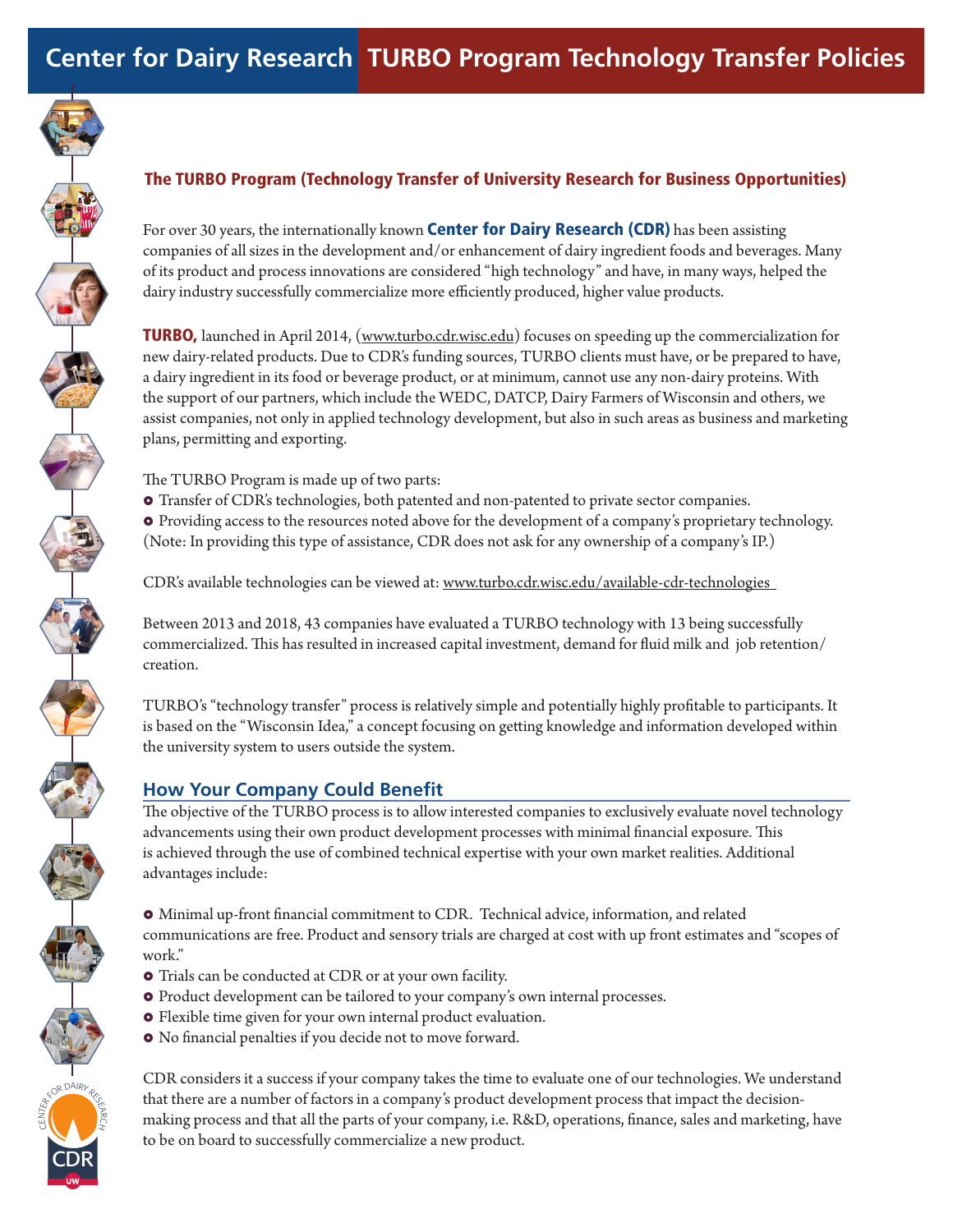## The TURBO Program (Technology Transfer of University Research for Business Opportunities)

For over 30 years, the internationally known **Center for Dairy Research (CDR)** has been assisting companies of all sizes in the development and/or enhancement of dairy ingredient foods and beverages. Many of its product and process innovations are considered "high technology" and have, in many ways, helped the dairy industry successfully commercialize more efficiently produced, higher value products.

TURBO, launched in April 2014, (www.turbo.cdr.wisc.edu) focuses on speeding up the commercialization for new dairy-related products. Due to CDR's funding sources, TURBO clients must have, or be prepared to have, a dairy ingredient in its food or beverage product, or at minimum, cannot use any non-dairy proteins. With the support of our partners, which include the WEDC, DATCP, Dairy Farmers of Wisconsin and others, we assist companies, not only in applied technology development, but also in such areas as business and marketing plans, permitting and exporting.

The TURBO Program is made up of two parts:

Transfer of CDR's technologies, both patented and non-patented to private sector companies.

 Providing access to the resources noted above for the development of a company's proprietary technology. (Note: In providing this type of assistance, CDR does not ask for any ownership of a company's IP.)

CDR's available technologies can be viewed at: www.turbo.cdr.wisc.edu/available-cdr-technologies

Between 2013 and 2018, 43 companies have evaluated a TURBO technology with 13 being successfully commercialized. This has resulted in increased capital investment, demand for fluid milk and job retention/ creation.

TURBO's "technology transfer" process is relatively simple and potentially highly profitable to participants. It is based on the "Wisconsin Idea," a concept focusing on getting knowledge and information developed within the university system to users outside the system.

## **How Your Company Could Benefit**

The objective of the TURBO process is to allow interested companies to exclusively evaluate novel technology advancements using their own product development processes with minimal financial exposure. This is achieved through the use of combined technical expertise with your own market realities. Additional advantages include:

 Minimal up-front financial commitment to CDR. Technical advice, information, and related communications are free. Product and sensory trials are charged at cost with up front estimates and "scopes of work."

- Trials can be conducted at CDR or at your own facility.
- Product development can be tailored to your company's own internal processes.
- Flexible time given for your own internal product evaluation.
- No financial penalties if you decide not to move forward.

CDR

COR DAIRY RESEARCH

CDR considers it a success if your company takes the time to evaluate one of our technologies. We understand that there are a number of factors in a company's product development process that impact the decisionmaking process and that all the parts of your company, i.e. R&D, operations, finance, sales and marketing, have to be on board to successfully commercialize a new product.